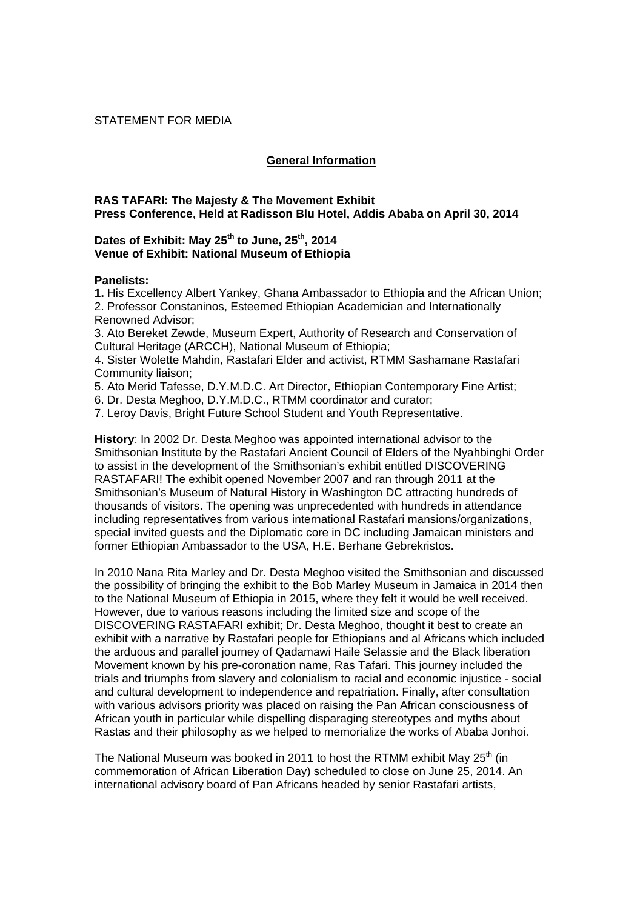### STATEMENT FOR MEDIA

# **General Information**

# **RAS TAFARI: The Majesty & The Movement Exhibit Press Conference, Held at Radisson Blu Hotel, Addis Ababa on April 30, 2014**

# Dates of Exhibit: May 25<sup>th</sup> to June, 25<sup>th</sup>, 2014 **Venue of Exhibit: National Museum of Ethiopia**

### **Panelists:**

**1.** His Excellency Albert Yankey, Ghana Ambassador to Ethiopia and the African Union; 2. Professor Constaninos, Esteemed Ethiopian Academician and Internationally Renowned Advisor;

3. Ato Bereket Zewde, Museum Expert, Authority of Research and Conservation of Cultural Heritage (ARCCH), National Museum of Ethiopia;

4. Sister Wolette Mahdin, Rastafari Elder and activist, RTMM Sashamane Rastafari Community liaison;

5. Ato Merid Tafesse, D.Y.M.D.C. Art Director, Ethiopian Contemporary Fine Artist;

6. Dr. Desta Meghoo, D.Y.M.D.C., RTMM coordinator and curator;

7. Leroy Davis, Bright Future School Student and Youth Representative.

**History**: In 2002 Dr. Desta Meghoo was appointed international advisor to the Smithsonian Institute by the Rastafari Ancient Council of Elders of the Nyahbinghi Order to assist in the development of the Smithsonian's exhibit entitled DISCOVERING RASTAFARI! The exhibit opened November 2007 and ran through 2011 at the Smithsonian's Museum of Natural History in Washington DC attracting hundreds of thousands of visitors. The opening was unprecedented with hundreds in attendance including representatives from various international Rastafari mansions/organizations, special invited guests and the Diplomatic core in DC including Jamaican ministers and former Ethiopian Ambassador to the USA, H.E. Berhane Gebrekristos.

In 2010 Nana Rita Marley and Dr. Desta Meghoo visited the Smithsonian and discussed the possibility of bringing the exhibit to the Bob Marley Museum in Jamaica in 2014 then to the National Museum of Ethiopia in 2015, where they felt it would be well received. However, due to various reasons including the limited size and scope of the DISCOVERING RASTAFARI exhibit; Dr. Desta Meghoo, thought it best to create an exhibit with a narrative by Rastafari people for Ethiopians and al Africans which included the arduous and parallel journey of Qadamawi Haile Selassie and the Black liberation Movement known by his pre-coronation name, Ras Tafari. This journey included the trials and triumphs from slavery and colonialism to racial and economic injustice - social and cultural development to independence and repatriation. Finally, after consultation with various advisors priority was placed on raising the Pan African consciousness of African youth in particular while dispelling disparaging stereotypes and myths about Rastas and their philosophy as we helped to memorialize the works of Ababa Jonhoi.

The National Museum was booked in 2011 to host the RTMM exhibit May  $25<sup>th</sup>$  (in commemoration of African Liberation Day) scheduled to close on June 25, 2014. An international advisory board of Pan Africans headed by senior Rastafari artists,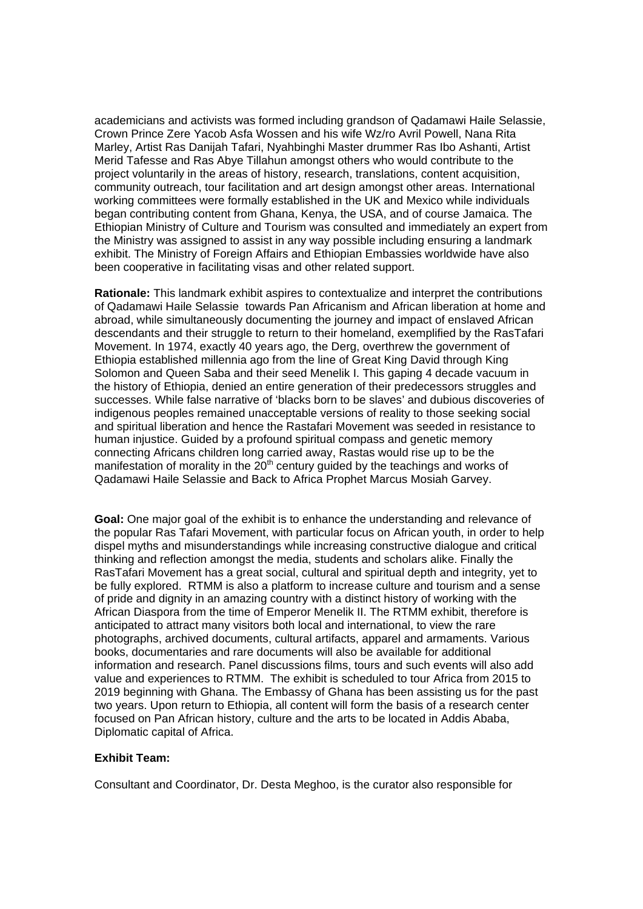academicians and activists was formed including grandson of Qadamawi Haile Selassie, Crown Prince Zere Yacob Asfa Wossen and his wife Wz/ro Avril Powell, Nana Rita Marley, Artist Ras Danijah Tafari, Nyahbinghi Master drummer Ras Ibo Ashanti, Artist Merid Tafesse and Ras Abye Tillahun amongst others who would contribute to the project voluntarily in the areas of history, research, translations, content acquisition, community outreach, tour facilitation and art design amongst other areas. International working committees were formally established in the UK and Mexico while individuals began contributing content from Ghana, Kenya, the USA, and of course Jamaica. The Ethiopian Ministry of Culture and Tourism was consulted and immediately an expert from the Ministry was assigned to assist in any way possible including ensuring a landmark exhibit. The Ministry of Foreign Affairs and Ethiopian Embassies worldwide have also been cooperative in facilitating visas and other related support.

**Rationale:** This landmark exhibit aspires to contextualize and interpret the contributions of Qadamawi Haile Selassie towards Pan Africanism and African liberation at home and abroad, while simultaneously documenting the journey and impact of enslaved African descendants and their struggle to return to their homeland, exemplified by the RasTafari Movement. In 1974, exactly 40 years ago, the Derg, overthrew the government of Ethiopia established millennia ago from the line of Great King David through King Solomon and Queen Saba and their seed Menelik I. This gaping 4 decade vacuum in the history of Ethiopia, denied an entire generation of their predecessors struggles and successes. While false narrative of 'blacks born to be slaves' and dubious discoveries of indigenous peoples remained unacceptable versions of reality to those seeking social and spiritual liberation and hence the Rastafari Movement was seeded in resistance to human injustice. Guided by a profound spiritual compass and genetic memory connecting Africans children long carried away, Rastas would rise up to be the manifestation of morality in the  $20<sup>th</sup>$  century guided by the teachings and works of Qadamawi Haile Selassie and Back to Africa Prophet Marcus Mosiah Garvey.

**Goal:** One major goal of the exhibit is to enhance the understanding and relevance of the popular Ras Tafari Movement, with particular focus on African youth, in order to help dispel myths and misunderstandings while increasing constructive dialogue and critical thinking and reflection amongst the media, students and scholars alike. Finally the RasTafari Movement has a great social, cultural and spiritual depth and integrity, yet to be fully explored. RTMM is also a platform to increase culture and tourism and a sense of pride and dignity in an amazing country with a distinct history of working with the African Diaspora from the time of Emperor Menelik II. The RTMM exhibit, therefore is anticipated to attract many visitors both local and international, to view the rare photographs, archived documents, cultural artifacts, apparel and armaments. Various books, documentaries and rare documents will also be available for additional information and research. Panel discussions films, tours and such events will also add value and experiences to RTMM. The exhibit is scheduled to tour Africa from 2015 to 2019 beginning with Ghana. The Embassy of Ghana has been assisting us for the past two years. Upon return to Ethiopia, all content will form the basis of a research center focused on Pan African history, culture and the arts to be located in Addis Ababa, Diplomatic capital of Africa.

# **Exhibit Team:**

Consultant and Coordinator, Dr. Desta Meghoo, is the curator also responsible for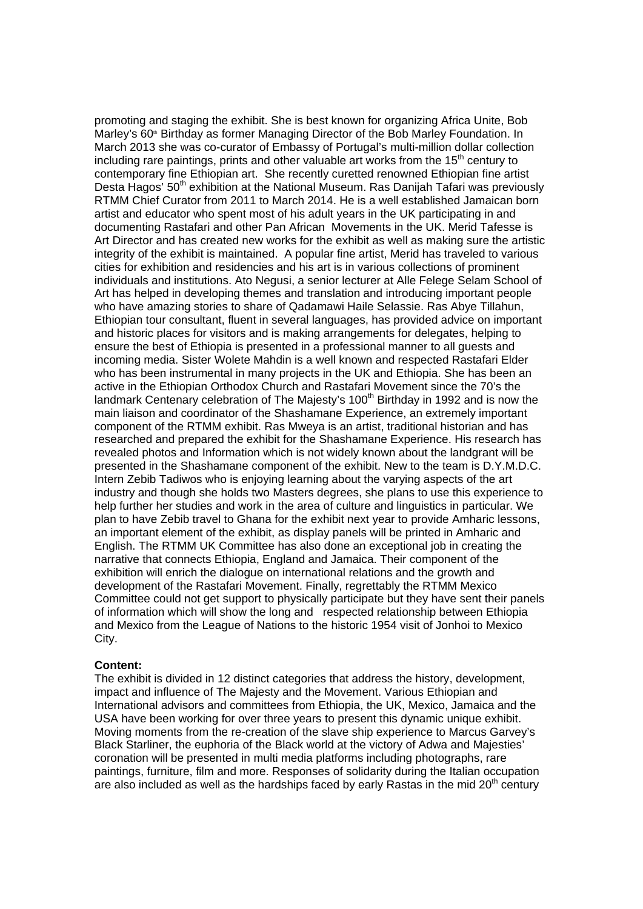promoting and staging the exhibit. She is best known for organizing Africa Unite, Bob Marley's 60<sup>th</sup> Birthday as former Managing Director of the Bob Marley Foundation. In March 2013 she was co-curator of Embassy of Portugal's multi-million dollar collection including rare paintings, prints and other valuable art works from the  $15<sup>th</sup>$  century to contemporary fine Ethiopian art. She recently curetted renowned Ethiopian fine artist Desta Hagos' 50<sup>th</sup> exhibition at the National Museum. Ras Danijah Tafari was previously RTMM Chief Curator from 2011 to March 2014. He is a well established Jamaican born artist and educator who spent most of his adult years in the UK participating in and documenting Rastafari and other Pan African Movements in the UK. Merid Tafesse is Art Director and has created new works for the exhibit as well as making sure the artistic integrity of the exhibit is maintained. A popular fine artist, Merid has traveled to various cities for exhibition and residencies and his art is in various collections of prominent individuals and institutions. Ato Negusi, a senior lecturer at Alle Felege Selam School of Art has helped in developing themes and translation and introducing important people who have amazing stories to share of Qadamawi Haile Selassie. Ras Abye Tillahun, Ethiopian tour consultant, fluent in several languages, has provided advice on important and historic places for visitors and is making arrangements for delegates, helping to ensure the best of Ethiopia is presented in a professional manner to all guests and incoming media. Sister Wolete Mahdin is a well known and respected Rastafari Elder who has been instrumental in many projects in the UK and Ethiopia. She has been an active in the Ethiopian Orthodox Church and Rastafari Movement since the 70's the landmark Centenary celebration of The Majesty's  $100<sup>th</sup>$  Birthday in 1992 and is now the main liaison and coordinator of the Shashamane Experience, an extremely important component of the RTMM exhibit. Ras Mweya is an artist, traditional historian and has researched and prepared the exhibit for the Shashamane Experience. His research has revealed photos and Information which is not widely known about the landgrant will be presented in the Shashamane component of the exhibit. New to the team is D.Y.M.D.C. Intern Zebib Tadiwos who is enjoying learning about the varying aspects of the art industry and though she holds two Masters degrees, she plans to use this experience to help further her studies and work in the area of culture and linguistics in particular. We plan to have Zebib travel to Ghana for the exhibit next year to provide Amharic lessons, an important element of the exhibit, as display panels will be printed in Amharic and English. The RTMM UK Committee has also done an exceptional job in creating the narrative that connects Ethiopia, England and Jamaica. Their component of the exhibition will enrich the dialogue on international relations and the growth and development of the Rastafari Movement. Finally, regrettably the RTMM Mexico Committee could not get support to physically participate but they have sent their panels of information which will show the long and respected relationship between Ethiopia and Mexico from the League of Nations to the historic 1954 visit of Jonhoi to Mexico City.

#### **Content:**

The exhibit is divided in 12 distinct categories that address the history, development, impact and influence of The Majesty and the Movement. Various Ethiopian and International advisors and committees from Ethiopia, the UK, Mexico, Jamaica and the USA have been working for over three years to present this dynamic unique exhibit. Moving moments from the re-creation of the slave ship experience to Marcus Garvey's Black Starliner, the euphoria of the Black world at the victory of Adwa and Majesties' coronation will be presented in multi media platforms including photographs, rare paintings, furniture, film and more. Responses of solidarity during the Italian occupation are also included as well as the hardships faced by early Rastas in the mid  $20<sup>th</sup>$  century